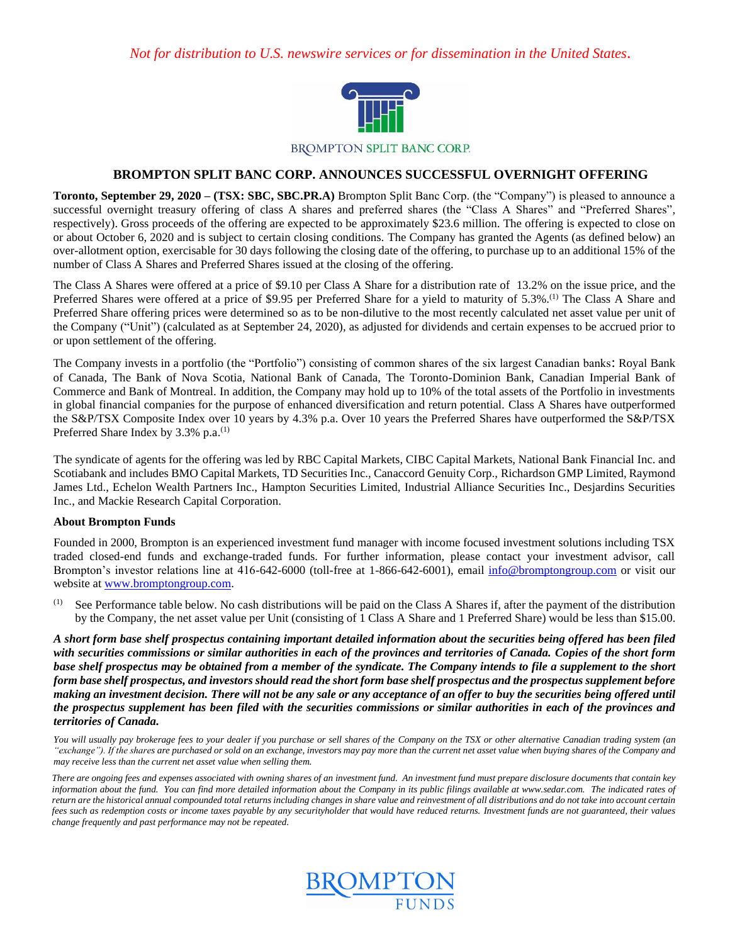*Not for distribution to U.S. newswire services or for dissemination in the United States.*



## **BROMPTON SPLIT BANC CORP. ANNOUNCES SUCCESSFUL OVERNIGHT OFFERING**

**Toronto, September 29, 2020 – (TSX: SBC, SBC.PR.A)** Brompton Split Banc Corp. (the "Company") is pleased to announce a successful overnight treasury offering of class A shares and preferred shares (the "Class A Shares" and "Preferred Shares", respectively). Gross proceeds of the offering are expected to be approximately \$23.6 million. The offering is expected to close on or about October 6, 2020 and is subject to certain closing conditions. The Company has granted the Agents (as defined below) an over-allotment option, exercisable for 30 days following the closing date of the offering, to purchase up to an additional 15% of the number of Class A Shares and Preferred Shares issued at the closing of the offering.

The Class A Shares were offered at a price of \$9.10 per Class A Share for a distribution rate of 13.2% on the issue price, and the Preferred Shares were offered at a price of \$9.95 per Preferred Share for a yield to maturity of 5.3%.<sup>(1)</sup> The Class A Share and Preferred Share offering prices were determined so as to be non-dilutive to the most recently calculated net asset value per unit of the Company ("Unit") (calculated as at September 24, 2020), as adjusted for dividends and certain expenses to be accrued prior to or upon settlement of the offering.

The Company invests in a portfolio (the "Portfolio") consisting of common shares of the six largest Canadian banks: Royal Bank of Canada, The Bank of Nova Scotia, National Bank of Canada, The Toronto-Dominion Bank, Canadian Imperial Bank of Commerce and Bank of Montreal. In addition, the Company may hold up to 10% of the total assets of the Portfolio in investments in global financial companies for the purpose of enhanced diversification and return potential. Class A Shares have outperformed the S&P/TSX Composite Index over 10 years by 4.3% p.a. Over 10 years the Preferred Shares have outperformed the S&P/TSX Preferred Share Index by 3.3% p.a.<sup>(1)</sup>

The syndicate of agents for the offering was led by RBC Capital Markets, CIBC Capital Markets, National Bank Financial Inc. and Scotiabank and includes BMO Capital Markets, TD Securities Inc., Canaccord Genuity Corp., Richardson GMP Limited, Raymond James Ltd., Echelon Wealth Partners Inc., Hampton Securities Limited, Industrial Alliance Securities Inc., Desjardins Securities Inc., and Mackie Research Capital Corporation.

## **About Brompton Funds**

Founded in 2000, Brompton is an experienced investment fund manager with income focused investment solutions including TSX traded closed-end funds and exchange-traded funds. For further information, please contact your investment advisor, call Brompton's investor relations line at 416-642-6000 (toll-free at 1-866-642-6001), email [info@bromptongroup.com](mailto:info@bromptongroup.com) or visit our website at [www.bromptongroup.com.](http://www.bromptongroup.com/)

(1) See Performance table below. No cash distributions will be paid on the Class A Shares if, after the payment of the distribution by the Company, the net asset value per Unit (consisting of 1 Class A Share and 1 Preferred Share) would be less than \$15.00.

*A short form base shelf prospectus containing important detailed information about the securities being offered has been filed with securities commissions or similar authorities in each of the provinces and territories of Canada. Copies of the short form base shelf prospectus may be obtained from a member of the syndicate. The Company intends to file a supplement to the short form base shelf prospectus, and investors should read the short form base shelf prospectus and the prospectus supplement before making an investment decision. There will not be any sale or any acceptance of an offer to buy the securities being offered until the prospectus supplement has been filed with the securities commissions or similar authorities in each of the provinces and territories of Canada.*

*You will usually pay brokerage fees to your dealer if you purchase or sell shares of the Company on the TSX or other alternative Canadian trading system (an "exchange"). If the shares are purchased or sold on an exchange, investors may pay more than the current net asset value when buying shares of the Company and may receive less than the current net asset value when selling them.*

*There are ongoing fees and expenses associated with owning shares of an investment fund. An investment fund must prepare disclosure documents that contain key information about the fund. You can find more detailed information about the Company in its public filings available at www.sedar.com. The indicated rates of return are the historical annual compounded total returns including changes in share value and reinvestment of all distributions and do not take into account certain fees such as redemption costs or income taxes payable by any securityholder that would have reduced returns. Investment funds are not guaranteed, their values change frequently and past performance may not be repeated.*